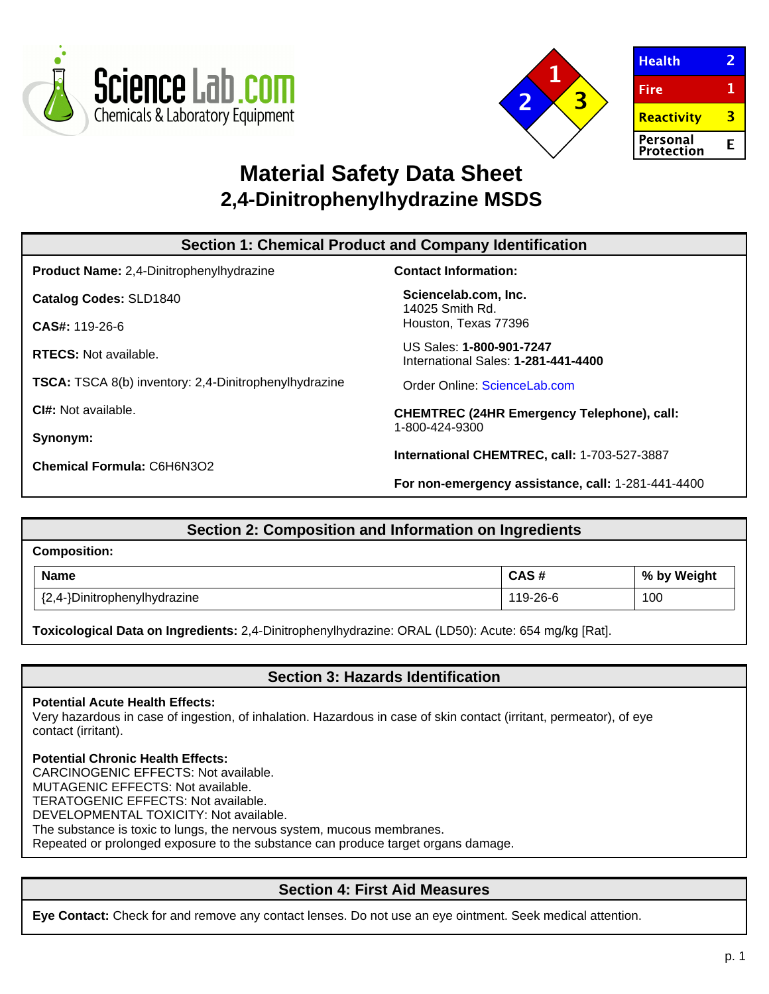



| <b>Health</b>                 |   |
|-------------------------------|---|
| Fire                          |   |
| <b>Reactivity</b>             |   |
| Personal<br><b>Protection</b> | F |

# **Material Safety Data Sheet 2,4-Dinitrophenylhydrazine MSDS**

| <b>Section 1: Chemical Product and Company Identification</b> |                                                                     |  |
|---------------------------------------------------------------|---------------------------------------------------------------------|--|
| <b>Product Name:</b> 2,4-Dinitrophenylhydrazine               | <b>Contact Information:</b>                                         |  |
| <b>Catalog Codes: SLD1840</b>                                 | Sciencelab.com, Inc.<br>14025 Smith Rd.                             |  |
| $CAS#: 119-26-6$                                              | Houston, Texas 77396                                                |  |
| <b>RTECS:</b> Not available.                                  | US Sales: 1-800-901-7247<br>International Sales: 1-281-441-4400     |  |
| <b>TSCA:</b> TSCA 8(b) inventory: 2,4-Dinitrophenylhydrazine  | Order Online: ScienceLab.com                                        |  |
| CI#: Not available.                                           | <b>CHEMTREC (24HR Emergency Telephone), call:</b><br>1-800-424-9300 |  |
| Synonym:                                                      |                                                                     |  |
| <b>Chemical Formula: C6H6N3O2</b>                             | International CHEMTREC, call: 1-703-527-3887                        |  |
|                                                               | For non-emergency assistance, call: 1-281-441-4400                  |  |

| Section 2: Composition and Information on Ingredients |          |             |  |
|-------------------------------------------------------|----------|-------------|--|
| <b>Composition:</b>                                   |          |             |  |
| <b>Name</b>                                           | CAS#     | % by Weight |  |
| {2,4-}Dinitrophenylhydrazine                          | 119-26-6 | 100         |  |

**Toxicological Data on Ingredients:** 2,4-Dinitrophenylhydrazine: ORAL (LD50): Acute: 654 mg/kg [Rat].

**Section 3: Hazards Identification**

### **Potential Acute Health Effects:**

Very hazardous in case of ingestion, of inhalation. Hazardous in case of skin contact (irritant, permeator), of eye contact (irritant).

### **Potential Chronic Health Effects:**

CARCINOGENIC EFFECTS: Not available. MUTAGENIC EFFECTS: Not available. TERATOGENIC EFFECTS: Not available. DEVELOPMENTAL TOXICITY: Not available. The substance is toxic to lungs, the nervous system, mucous membranes.

Repeated or prolonged exposure to the substance can produce target organs damage.

# **Section 4: First Aid Measures**

**Eye Contact:** Check for and remove any contact lenses. Do not use an eye ointment. Seek medical attention.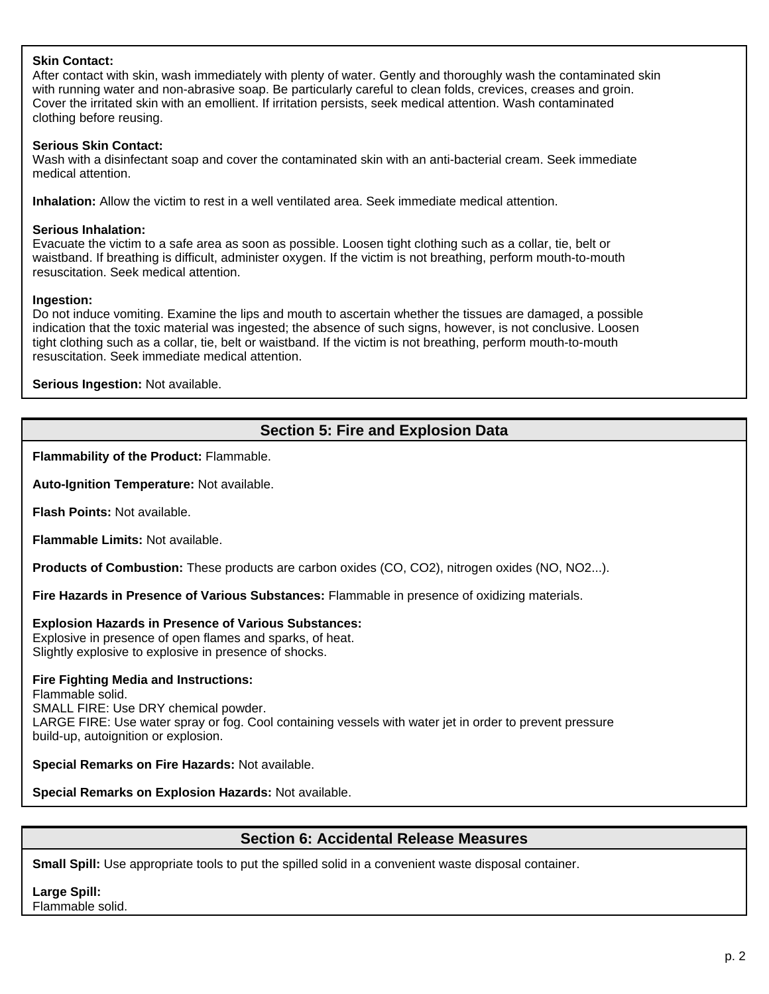## **Skin Contact:**

After contact with skin, wash immediately with plenty of water. Gently and thoroughly wash the contaminated skin with running water and non-abrasive soap. Be particularly careful to clean folds, crevices, creases and groin. Cover the irritated skin with an emollient. If irritation persists, seek medical attention. Wash contaminated clothing before reusing.

## **Serious Skin Contact:**

Wash with a disinfectant soap and cover the contaminated skin with an anti-bacterial cream. Seek immediate medical attention.

**Inhalation:** Allow the victim to rest in a well ventilated area. Seek immediate medical attention.

## **Serious Inhalation:**

Evacuate the victim to a safe area as soon as possible. Loosen tight clothing such as a collar, tie, belt or waistband. If breathing is difficult, administer oxygen. If the victim is not breathing, perform mouth-to-mouth resuscitation. Seek medical attention.

## **Ingestion:**

Do not induce vomiting. Examine the lips and mouth to ascertain whether the tissues are damaged, a possible indication that the toxic material was ingested; the absence of such signs, however, is not conclusive. Loosen tight clothing such as a collar, tie, belt or waistband. If the victim is not breathing, perform mouth-to-mouth resuscitation. Seek immediate medical attention.

**Serious Ingestion:** Not available.

# **Section 5: Fire and Explosion Data**

**Flammability of the Product:** Flammable.

**Auto-Ignition Temperature:** Not available.

**Flash Points:** Not available.

**Flammable Limits:** Not available.

**Products of Combustion:** These products are carbon oxides (CO, CO2), nitrogen oxides (NO, NO2...).

**Fire Hazards in Presence of Various Substances:** Flammable in presence of oxidizing materials.

## **Explosion Hazards in Presence of Various Substances:**

Explosive in presence of open flames and sparks, of heat. Slightly explosive to explosive in presence of shocks.

## **Fire Fighting Media and Instructions:**

Flammable solid. SMALL FIRE: Use DRY chemical powder. LARGE FIRE: Use water spray or fog. Cool containing vessels with water jet in order to prevent pressure build-up, autoignition or explosion.

**Special Remarks on Fire Hazards:** Not available.

**Special Remarks on Explosion Hazards:** Not available.

# **Section 6: Accidental Release Measures**

**Small Spill:** Use appropriate tools to put the spilled solid in a convenient waste disposal container.

# **Large Spill:**

Flammable solid.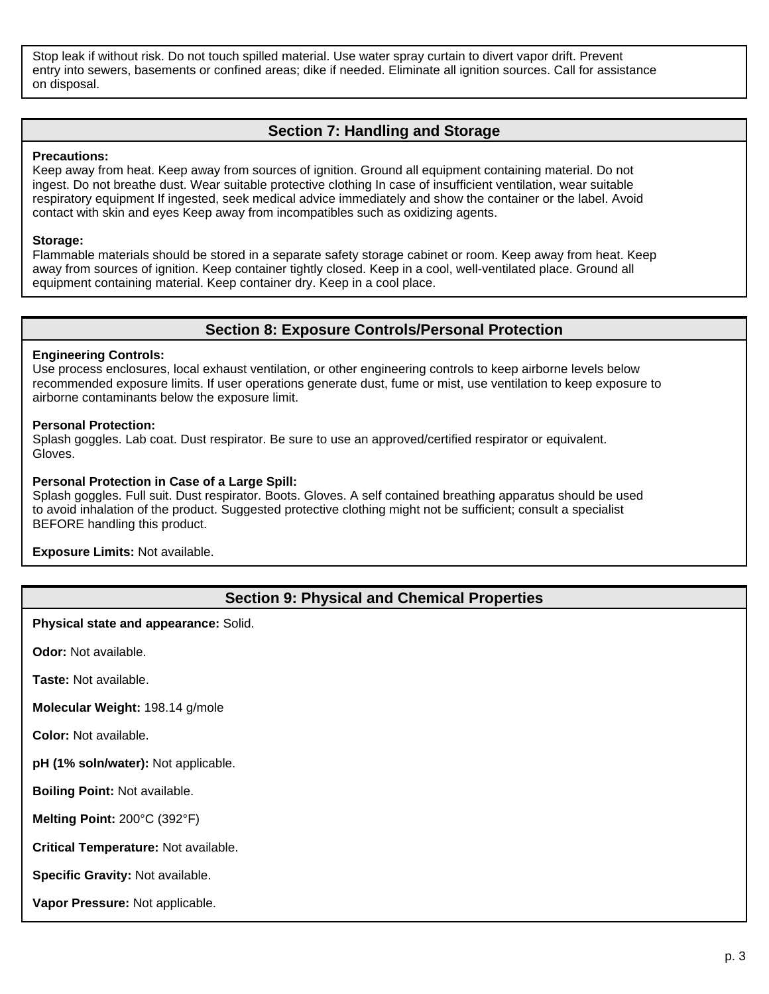Stop leak if without risk. Do not touch spilled material. Use water spray curtain to divert vapor drift. Prevent entry into sewers, basements or confined areas; dike if needed. Eliminate all ignition sources. Call for assistance on disposal.

## **Section 7: Handling and Storage**

#### **Precautions:**

Keep away from heat. Keep away from sources of ignition. Ground all equipment containing material. Do not ingest. Do not breathe dust. Wear suitable protective clothing In case of insufficient ventilation, wear suitable respiratory equipment If ingested, seek medical advice immediately and show the container or the label. Avoid contact with skin and eyes Keep away from incompatibles such as oxidizing agents.

### **Storage:**

Flammable materials should be stored in a separate safety storage cabinet or room. Keep away from heat. Keep away from sources of ignition. Keep container tightly closed. Keep in a cool, well-ventilated place. Ground all equipment containing material. Keep container dry. Keep in a cool place.

## **Section 8: Exposure Controls/Personal Protection**

### **Engineering Controls:**

Use process enclosures, local exhaust ventilation, or other engineering controls to keep airborne levels below recommended exposure limits. If user operations generate dust, fume or mist, use ventilation to keep exposure to airborne contaminants below the exposure limit.

#### **Personal Protection:**

Splash goggles. Lab coat. Dust respirator. Be sure to use an approved/certified respirator or equivalent. Gloves.

#### **Personal Protection in Case of a Large Spill:**

Splash goggles. Full suit. Dust respirator. Boots. Gloves. A self contained breathing apparatus should be used to avoid inhalation of the product. Suggested protective clothing might not be sufficient; consult a specialist BEFORE handling this product.

**Exposure Limits:** Not available.

## **Section 9: Physical and Chemical Properties**

**Physical state and appearance:** Solid.

**Odor:** Not available.

**Taste:** Not available.

**Molecular Weight:** 198.14 g/mole

**Color:** Not available.

**pH (1% soln/water):** Not applicable.

**Boiling Point:** Not available.

**Melting Point:** 200°C (392°F)

**Critical Temperature:** Not available.

**Specific Gravity:** Not available.

**Vapor Pressure:** Not applicable.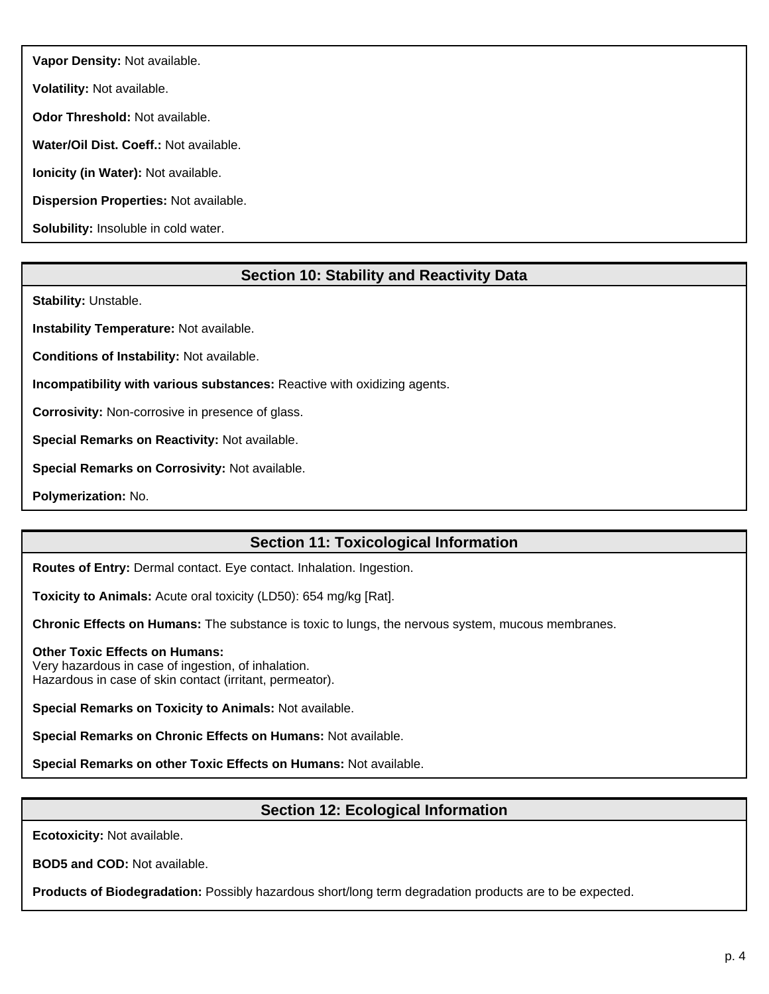**Vapor Density:** Not available.

**Volatility:** Not available.

**Odor Threshold:** Not available.

**Water/Oil Dist. Coeff.:** Not available.

**Ionicity (in Water):** Not available.

**Dispersion Properties:** Not available.

**Solubility:** Insoluble in cold water.

# **Section 10: Stability and Reactivity Data**

**Stability:** Unstable.

**Instability Temperature:** Not available.

**Conditions of Instability:** Not available.

**Incompatibility with various substances:** Reactive with oxidizing agents.

**Corrosivity:** Non-corrosive in presence of glass.

**Special Remarks on Reactivity:** Not available.

**Special Remarks on Corrosivity:** Not available.

**Polymerization:** No.

# **Section 11: Toxicological Information**

**Routes of Entry:** Dermal contact. Eye contact. Inhalation. Ingestion.

**Toxicity to Animals:** Acute oral toxicity (LD50): 654 mg/kg [Rat].

**Chronic Effects on Humans:** The substance is toxic to lungs, the nervous system, mucous membranes.

### **Other Toxic Effects on Humans:**

Very hazardous in case of ingestion, of inhalation. Hazardous in case of skin contact (irritant, permeator).

**Special Remarks on Toxicity to Animals:** Not available.

**Special Remarks on Chronic Effects on Humans:** Not available.

**Special Remarks on other Toxic Effects on Humans:** Not available.

# **Section 12: Ecological Information**

**Ecotoxicity:** Not available.

**BOD5 and COD:** Not available.

**Products of Biodegradation:** Possibly hazardous short/long term degradation products are to be expected.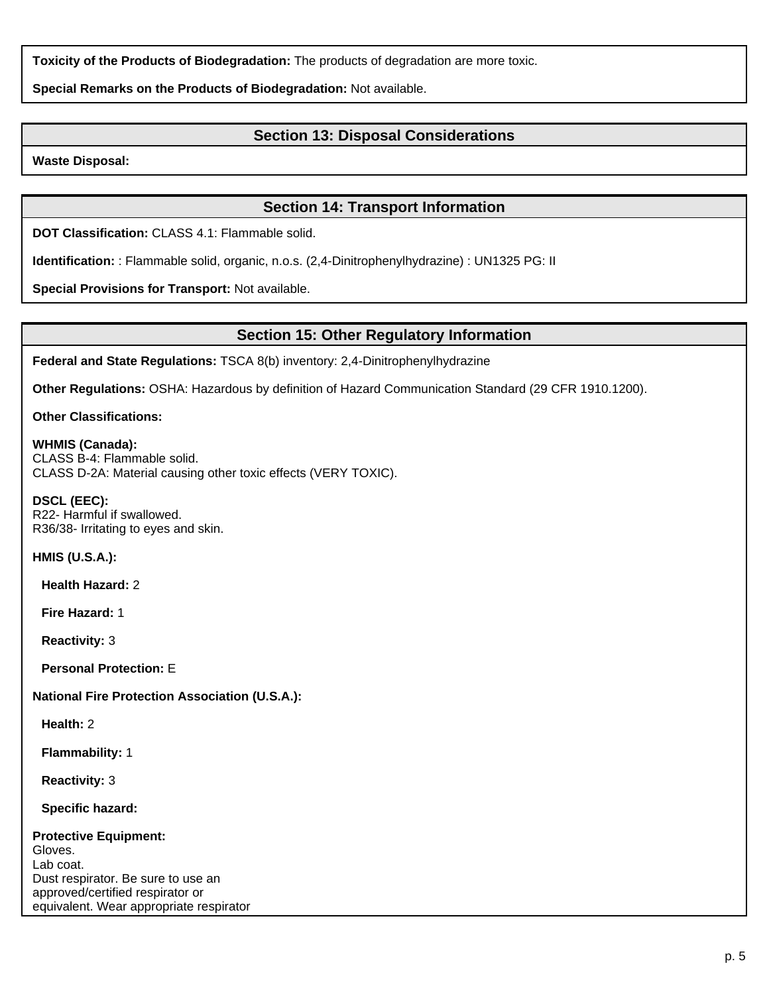**Toxicity of the Products of Biodegradation:** The products of degradation are more toxic.

**Special Remarks on the Products of Biodegradation:** Not available.

# **Section 13: Disposal Considerations**

**Waste Disposal:**

# **Section 14: Transport Information**

**DOT Classification:** CLASS 4.1: Flammable solid.

**Identification:** : Flammable solid, organic, n.o.s. (2,4-Dinitrophenylhydrazine) : UN1325 PG: II

**Special Provisions for Transport:** Not available.

## **Section 15: Other Regulatory Information**

**Federal and State Regulations:** TSCA 8(b) inventory: 2,4-Dinitrophenylhydrazine

**Other Regulations:** OSHA: Hazardous by definition of Hazard Communication Standard (29 CFR 1910.1200).

**Other Classifications:**

**WHMIS (Canada):** CLASS B-4: Flammable solid. CLASS D-2A: Material causing other toxic effects (VERY TOXIC).

**DSCL (EEC):** R22- Harmful if swallowed. R36/38- Irritating to eyes and skin.

**HMIS (U.S.A.):**

**Health Hazard:** 2

**Fire Hazard:** 1

**Reactivity:** 3

**Personal Protection:** E

## **National Fire Protection Association (U.S.A.):**

**Health:** 2

**Flammability:** 1

**Reactivity:** 3

**Specific hazard:**

| <b>Protective Equipment:</b>            |
|-----------------------------------------|
| Gloves.                                 |
| Lab coat.                               |
| Dust respirator. Be sure to use an      |
| approved/certified respirator or        |
| equivalent. Wear appropriate respirator |